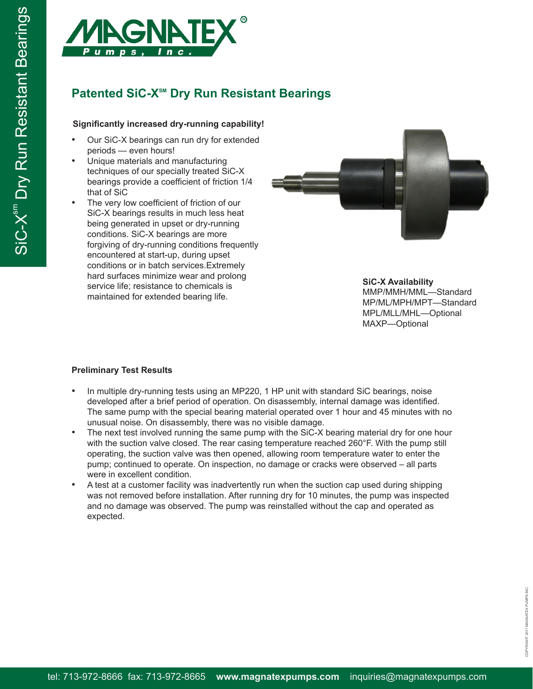

# **Patented SiC-X<sup>SM</sup> Dry Run Resistant Bearings**

## **Significantly increased dry-running capability!**

- Our SiC-X bearings can run dry for extended periods — even hours!
- Unique materials and manufacturing techniques of our specially treated SiC-X bearings provide a coefficient of friction 1/4 that of SiC
- The very low coefficient of friction of our SiC-X bearings results in much less heat being generated in upset or dry-running conditions. SiC-X bearings are more forgiving of dry-running conditions frequently encountered at start-up, during upset conditions or in batch services.Extremely hard surfaces minimize wear and prolong service life; resistance to chemicals is maintained for extended bearing life.



**SiC-X Availability** MMP/MMH/MML—Standard MP/ML/MPH/MPT—Standard MPL/MLL/MHL—Optional MAXP—Optional

### **Preliminary Test Results**

- In multiple dry-running tests using an MP220, 1 HP unit with standard SiC bearings, noise developed after a brief period of operation. On disassembly, internal damage was identified. The same pump with the special bearing material operated over 1 hour and 45 minutes with no unusual noise. On disassembly, there was no visible damage.
- The next test involved running the same pump with the SiC-X bearing material dry for one hour with the suction valve closed. The rear casing temperature reached 260°F. With the pump still operating, the suction valve was then opened, allowing room temperature water to enter the pump; continued to operate. On inspection, no damage or cracks were observed – all parts were in excellent condition.
- A test at a customer facility was inadvertently run when the suction cap used during shipping was not removed before installation. After running dry for 10 minutes, the pump was inspected and no damage was observed. The pump was reinstalled without the cap and operated as expected.